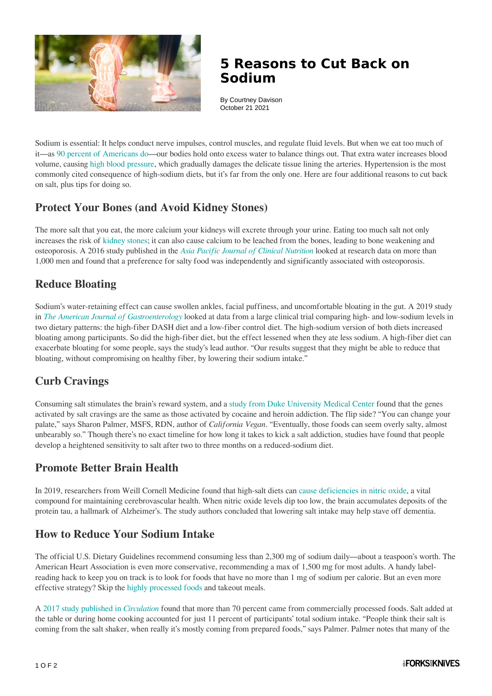

## **5 Reasons to Cut Back on Sodium**

By Courtney Davison October 21 2021

Sodium is essential: It helps conduct nerve impulses, control muscles, and regulate fluid levels. But when we eat too much of it—as [90 percent of Americans do—](https://www.cdc.gov/mmwr/preview/mmwrhtml/mm6452a1.htm)our bodies hold onto excess water to balance things out. That extra water increases blood volume, causing [high blood pressure,](https://www.forksoverknives.com/health-topics/heart-disease-and-diet) which gradually damages the delicate tissue lining the arteries. Hypertension is the most commonly cited consequence of high-sodium diets, but it's far from the only one. Here are four additional reasons to cut back on salt, plus tips for doing so.

#### **Protect Your Bones (and Avoid Kidney Stones)**

The more salt that you eat, the more calcium your kidneys will excrete through your urine. Eating too much salt not only increases the risk of [kidney stones](https://www.ncbi.nlm.nih.gov/pmc/articles/PMC4165387/); it can also cause calcium to be leached from the bones, leading to bone weakening and osteoporosis. A 2016 study published in the *[Asia Pacific Journal of Clinical Nutrition](https://pubmed.ncbi.nlm.nih.gov/27702731/)* looked at research data on more than 1,000 men and found that a preference for salty food was independently and significantly associated with osteoporosis.

### **Reduce Bloating**

Sodium's water-retaining effect can cause swollen ankles, facial puffiness, and uncomfortable bloating in the gut. A 2019 study in *[The American Journal of Gastroenterology](https://journals.lww.com/ajg/Abstract/2019/07000/Effects_of_the_DASH_Diet_and_Sodium_Intake_on.21.aspx)* looked at data from a large clinical trial comparing high- and low-sodium levels in two dietary patterns: the high-fiber DASH diet and a low-fiber control diet. The high-sodium version of both diets increased bloating among participants. So did the high-fiber diet, but the effect lessened when they ate less sodium. A high-fiber diet can exacerbate bloating for some people, says the study's lead author. "Our results suggest that they might be able to reduce that bloating, without compromising on healthy fiber, by lowering their sodium intake."

#### **Curb Cravings**

Consuming salt stimulates the brain's reward system, and a [study from Duke University Medical Center](https://corporate.dukehealth.org/news/classic-instinct-salt-appetite-linked-drug-addiction) found that the genes activated by salt cravings are the same as those activated by cocaine and heroin addiction. The flip side? "You can change your palate," says Sharon Palmer, MSFS, RDN, author of *California Vegan*. "Eventually, those foods can seem overly salty, almost unbearably so." Though there's no exact timeline for how long it takes to kick a salt addiction, studies have found that people develop a heightened sensitivity to salt after two to three months on a reduced-sodium diet.

#### **Promote Better Brain Health**

In 2019, researchers from Weill Cornell Medicine found that high-salt diets can [cause deficiencies in nitric oxide](https://brainandmind.weill.cornell.edu/dietary-salt-promotes-neurovascular-and-cognitive-dysfunction-through-gut-initiated-th17-response), a vital compound for maintaining cerebrovascular health. When nitric oxide levels dip too low, the brain accumulates deposits of the protein tau, a hallmark of Alzheimer's. The study authors concluded that lowering salt intake may help stave off dementia.

#### **How to Reduce Your Sodium Intake**

The official U.S. Dietary Guidelines recommend consuming less than 2,300 mg of sodium daily—about a teaspoon's worth. The American Heart Association is even more conservative, recommending a max of 1,500 mg for most adults. A handy labelreading hack to keep you on track is to look for foods that have no more than 1 mg of sodium per calorie. But an even more effective strategy? Skip the [highly processed foods](https://www.forksoverknives.com/wellness/what-are-highly-processed-foods/) and takeout meals.

A [2017 study published in](https://www.ahajournals.org/doi/full/10.1161/CIRCULATIONAHA.116.024446) *[Circulation](https://www.ahajournals.org/doi/full/10.1161/CIRCULATIONAHA.116.024446)* found that more than 70 percent came from commercially processed foods. Salt added at the table or during home cooking accounted for just 11 percent of participants' total sodium intake. "People think their salt is coming from the salt shaker, when really it's mostly coming from prepared foods," says Palmer. Palmer notes that many of the